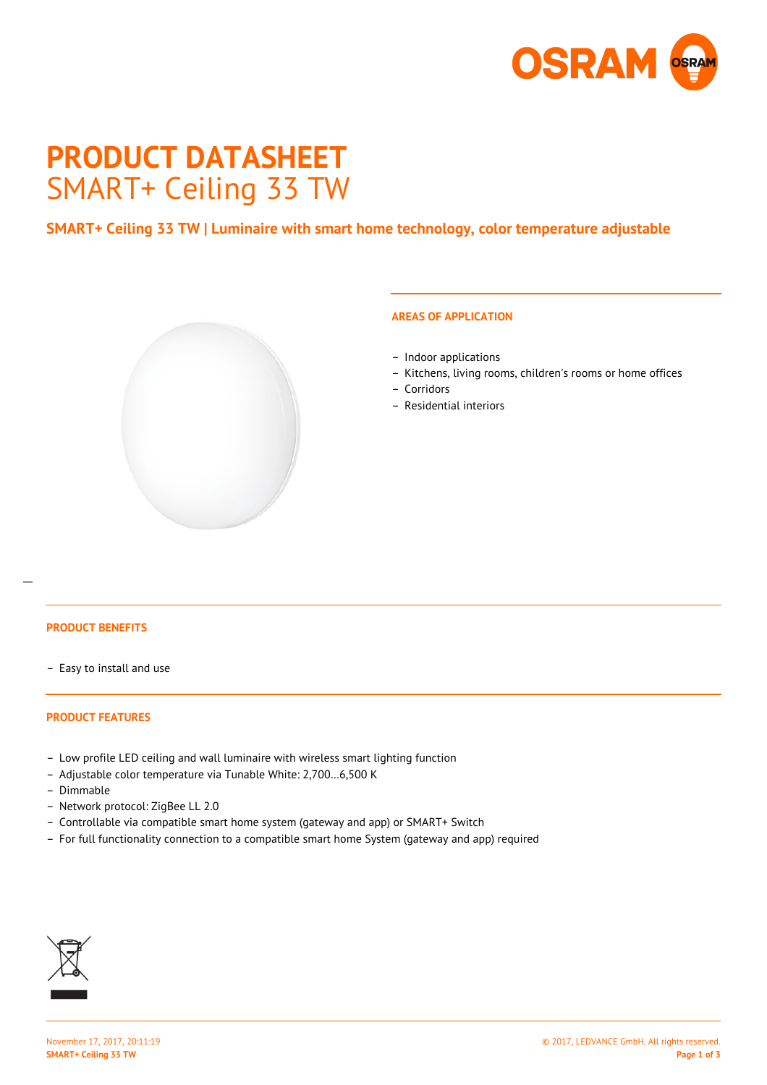

# **PRODUCT DATASHEET** SMART+ Ceiling 33 TW

# **SMART+ Ceiling 33 TW | Luminaire with smart home technology, color temperature adjustable**



## **AREAS OF APPLICATION**

- Indoor applications
- Kitchens, living rooms, children's rooms or home offices
- Corridors
- Residential interiors

# **PRODUCT BENEFITS**

 $\overline{a}$ 

– Easy to install and use

#### **PRODUCT FEATURES**

- Low profile LED ceiling and wall luminaire with wireless smart lighting function
- Adjustable color temperature via Tunable White: 2,700…6,500 K
- Dimmable
- Network protocol: ZigBee LL 2.0
- Controllable via compatible smart home system (gateway and app) or SMART+ Switch
- For full functionality connection to a compatible smart home System (gateway and app) required

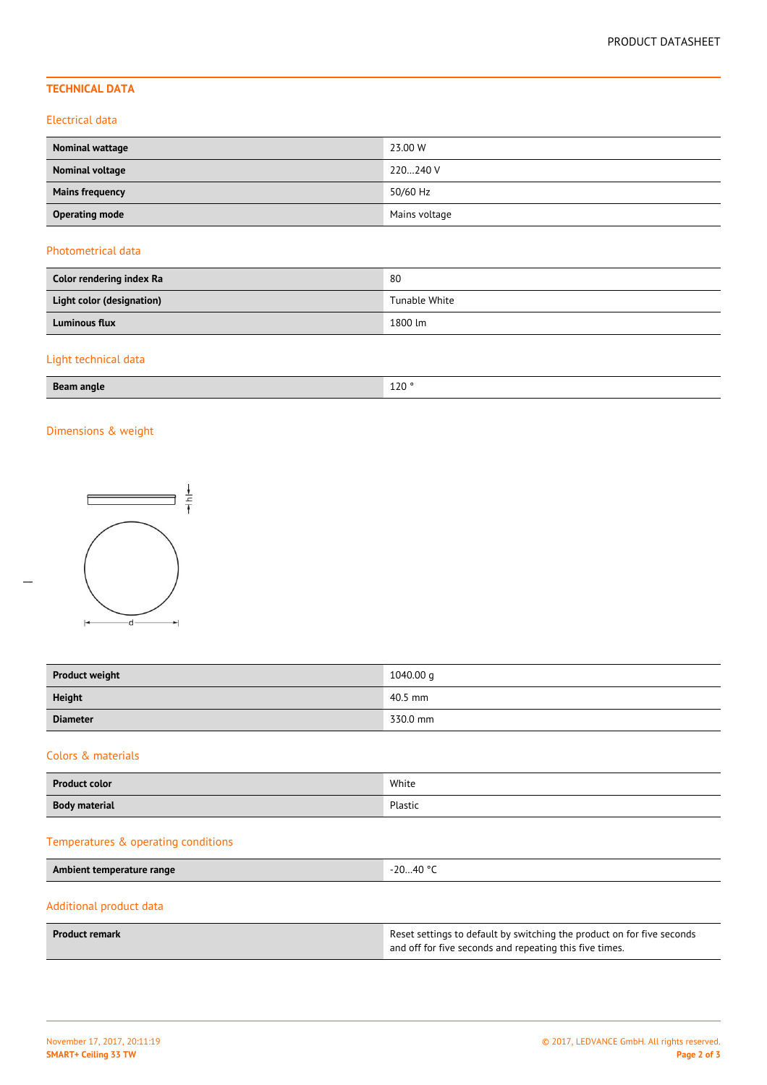# **TECHNICAL DATA**

### Electrical data

| Nominal wattage        | 23.00 W       |
|------------------------|---------------|
| Nominal voltage        | 220240 V      |
| <b>Mains frequency</b> | 50/60 Hz      |
| <b>Operating mode</b>  | Mains voltage |

### Photometrical data

| Color rendering index Ra  | 80            |
|---------------------------|---------------|
| Light color (designation) | Tunable White |
| <b>Luminous flux</b>      | 1800 lm       |

# Light technical data

| $P_{22}$<br>angle<br>. . | 120°   |
|--------------------------|--------|
| ___                      | $\sim$ |

# Dimensions & weight

 $\overline{a}$ 



| <b>Product weight</b> | 1040.00 g |
|-----------------------|-----------|
| <b>Height</b>         | 40.5 mm   |
| <b>Diameter</b>       | 330.0 mm  |

# Colors & materials

| <b>Product color</b> | White   |
|----------------------|---------|
| <b>Body material</b> | Plastic |

# Temperatures & operating conditions

| -20…40 °C<br>Ambient temperature range |  |
|----------------------------------------|--|
|----------------------------------------|--|

# Additional product data

| <b>Product remark</b> | Reset settings to default by switching the product on for five seconds |
|-----------------------|------------------------------------------------------------------------|
|                       | and off for five seconds and repeating this five times.                |